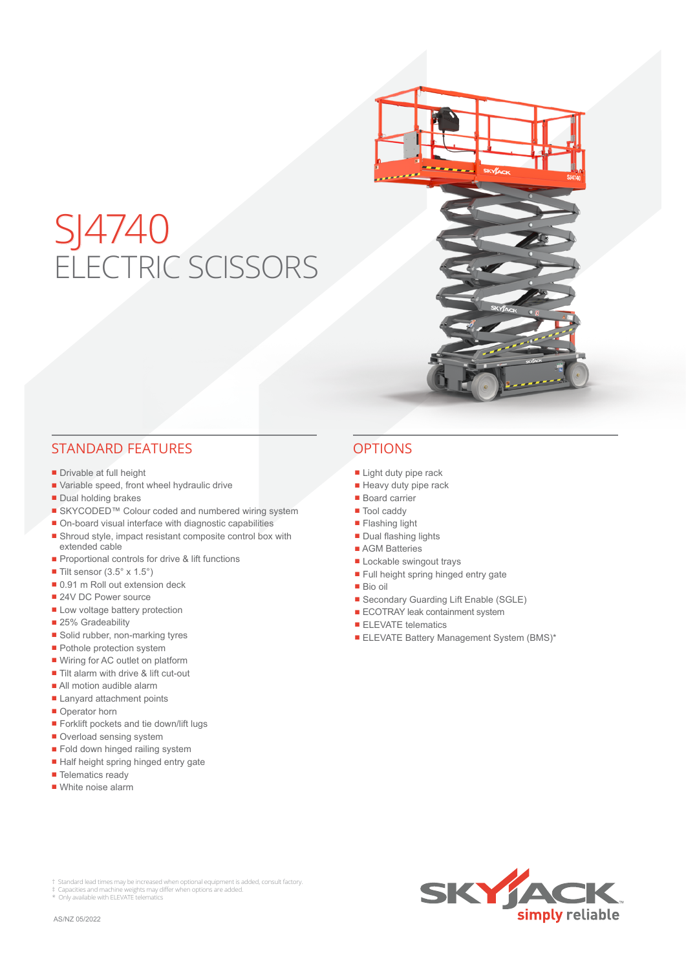# SJ4740 ELECTRIC SCISSORS

## STANDARD FEATURES OPTIONS

- Drivable at full height
- Variable speed, front wheel hydraulic drive
- Dual holding brakes
- SKYCODED™ Colour coded and numbered wiring system
- On-board visual interface with diagnostic capabilities
- Shroud style, impact resistant composite control box with extended cable
- Proportional controls for drive & lift functions
- $\blacksquare$  Tilt sensor (3.5° x 1.5°)
- 0.91 m Roll out extension deck
- 24V DC Power source
- Low voltage battery protection
- 25% Gradeability
- Solid rubber, non-marking tyres
- Pothole protection system
- Wiring for AC outlet on platform
- Tilt alarm with drive & lift cut-out
- All motion audible alarm
- Lanyard attachment points
- Operator horn
- Forklift pockets and tie down/lift lugs
- Overload sensing system
- Fold down hinged railing system
- Half height spring hinged entry gate
- Telematics ready
- White noise alarm

- Light duty pipe rack
- Heavy duty pipe rack
- Board carrier
- Tool caddy
- Flashing light
- Dual flashing lights
- AGM Batteries
- Lockable swingout trays
- Full height spring hinged entry gate
- Bio oil
- Secondary Guarding Lift Enable (SGLE)
- ECOTRAY leak containment system
- ELEVATE telematics
- ELEVATE Battery Management System (BMS)\*

† Standard lead times may be increased when optional equipment is added, consult factory.<br>‡ Capacities and machine weights may differ when options are added.<br>\* Only available with ELEVATE telematics